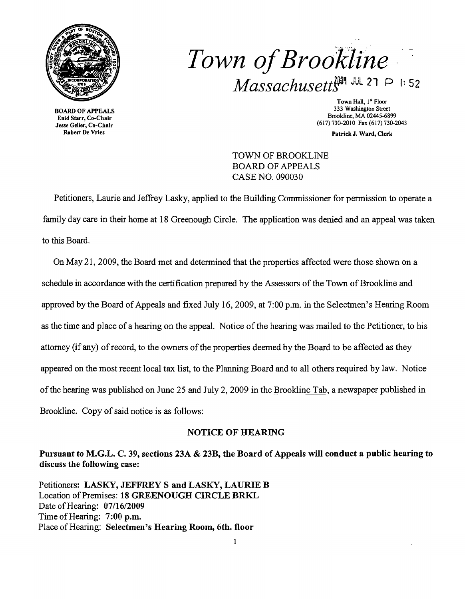

Enid Starr, Co-Chair Robert De Vries

*Town ofBrookline*  $Massachusetts^{201}$  JUL 27 P 1:52

Town Hall, 1<sup>st</sup> Floor<br>333 Washington Street 333 Washington Street 333 Washington Street 333 Washington Street<br>Enid Sterr Co. Chair (617) 730-2010 Fax (617) 730-2043 Jesse Geller, Co-Chair

Patrick J. Ward, Clerk

TOWN OF BROOKLINE BOARD OF APPEALS CASE NO. 090030

Petitioners, Laurie and Jeffrey Lasky, applied to the Building Commissioner for permission to operate a family day care in their home at 18 Greenough Circle. The application was denied and an appeal was taken to this Board.

On May 21, 2009, the Board met and determined that the properties affected were those shown on a schedule in accordance with the certification prepared by the Assessors of the Town of Brookline and approved by the Board of Appeals and fixed July 16, 2009, at 7:00 p.m. in the Selectmen's Hearing Room as the time and place of a hearing on the appeal. Notice of the hearing was mailed to the Petitioner, to his attorney (if any) of record, to the owners of the properties deemed by the Board to be affected as they appeared on the most recent local tax list, to the Planning Board and to all others required by law. Notice ofthe hearing was published on June 25 and July 2,2009 in the Brookline Tab, a newspaper published in Brookline. Copy of said notice is as follows:

## NOTICE OF HEARING

Pursuant to M.G.L. C. 39, sections 23A & 23B, the Board of Appeals will conduct a public hearing to discuss the following case:

Petitioners: LASKY, JEFFREY S and LASKY, LAURIE B Location of Premises: 18 GREENOUGH CIRCLE BRKL Date of Hearing: 07/16/2009 Time of Hearing: 7:00 p.m. Place of Hearing: Selectmen's Hearing Room, 6th. floor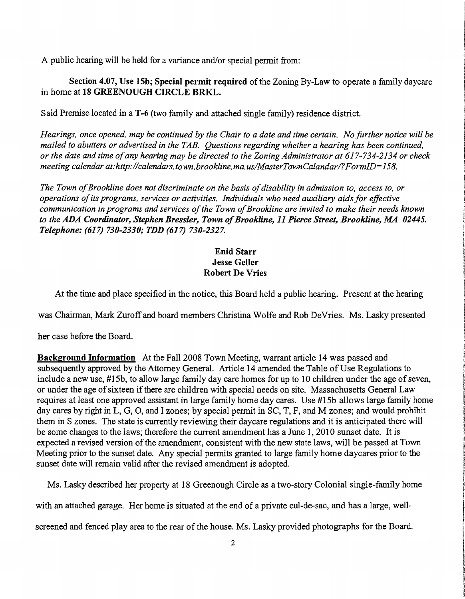A public hearing will be held for a variance and/or special permit from:

Section 4.07, Use 15b; Special permit required of the Zoning By-Law to operate a family daycare in home at 18 GREENOUGH CIRCLE BRKL.

Said Premise located in a T-6 (two family and attached single family) residence district.

*Hearings, once opened, may be continued by the Chair to a date and time certain. No further notice will be mailed to abutters or advertised in the TAB. Questions regarding whether a hearing has been continued, or the date and time ofany hearing may be directed to the Zoning Administrator at* 617-734-2134 *or check meeting calendar at:http://calendars.town.brookline.ma.usIMasterTownCalandarl?FormID=158.* 

The Town of Brookline does not discriminate on the basis of disability in admission to, access to, or *operations ofits programs, services or activities. Individuals who need auxiliary aids for effective communication in programs and services ofthe Town ofBrookline are invited to make their needs known*  to the ADA Coordinator, Stephen Bressler, Town of Brookline, 11 Pierce Street, Brookline, MA 02445. *Telephone:* (617) *730-2330; TDD* (617) *730-2327.* 

## Enid Starr Jesse Geller Robert De Vries

At the time and place specified in the notice, this Board held a public hearing. Present at the hearing

was Chairman, Mark Zuroff and board members Christina Wolfe and Rob DeVries. Ms. Lasky presented

her case before the Board.

Background Information At the Fall 2008 Town Meeting, warrant article 14 was passed and subsequently approved by the Attorney General. Article 14 amended the Table of Use Regulations to include a new use,  $#15b$ , to allow large family day care homes for up to 10 children under the age of seven, or under the age of sixteen if there are children with special needs on site. Massachusetts General Law requires at least one approved assistant in large family home day cares. Use #15b allows large family home day cares by right in L, G, 0, and I zones; by special permit in SC, T, F, and M zones; and would prohibit them in S zones. The state is currently reviewing their daycare regulations and it is anticipated there will be some changes to the laws; therefore the current amendment has a June 1, 2010 sunset date. It is expected a revised version of the amendment, consistent with the new state laws, will be passed at Town Meeting prior to the sunset date. Any special permits granted to large family home daycares prior to the sunset date will remain valid after the revised amendment is adopted.

Ms. Lasky described her property at 18 Greenough Circle as a two-story Colonial single-family home

with an attached garage. Her home is situated at the end of a private cul-de-sac, and has a large, well-

screened and fenced play area to the rear of the house. Ms. Lasky provided photographs for the Board.

the field of the complete **F** 

istantist

**International Control Construction Control** incommunity.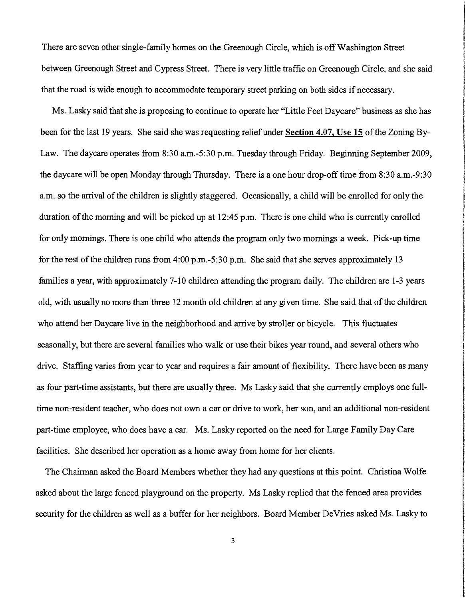There are seven other single-family homes on the Greenough Circle, which is off Washington Street between Greenough Street and Cypress Street. There is very little traffic on Greenough Circle, and she said that the road is wide enough to accommodate temporary street parking on both sides if necessary.

Ms. Lasky said that she is proposing to continue to operate her "Little Feet Daycare" business as she has been for the last 19 years. She said she was requesting reliefunder Section 4.07, Use 15 ofthe Zoning By-Law. The daycare operates from 8:30 a.m.-5:30 p.m. Tuesday through Friday. Beginning September 2009, the daycare will be open Monday through Thursday. There is a one hour drop-off time from 8:30 a.m.-9:30 a.m. so the arrival of the children is slightly staggered. Occasionally, a child will be enrolled for only the duration of the morning and will be picked up at  $12:45$  p.m. There is one child who is currently enrolled for only mornings. There is one child who attends the program only two mornings a week. Pick-up time for the rest of the children runs from  $4:00 \text{ p.m.}-5:30 \text{ p.m.}$  She said that she serves approximately 13 families a year, with approximately 7-10 children attending the program daily. The children are 1-3 years old, with usually no more than three 12 month old children at any given time. She said that of the children who attend her Daycare live in the neighborhood and arrive by stroller or bicycle. This fluctuates seasonally, but there are several families who walk or use their bikes year round, and several others who drive. Staffing varies from year to year and requires a fair amount of flexibility. There have been as many as four part-time assistants, but there are usually three. Ms Lasky said that she currently employs one fulltime non-resident teacher, who does not own a car or drive to work, her son, and an additional non-resident part-time employee, who does have a car. Ms. Lasky reported on the need for Large Family Day Care facilities. She described her operation as a home away from home for her clients.

I i

**includes International** 

**International Communication** 

الكافية المساحة التي تستكن التراث المراكبة المراكبة المساحة المساحة المساحة المساحة المساحة المساحة المساحة ال<br>المساحة المساحة التي تسمية المساحة المساحة المساحة المساحة المساحة المساحة المساحة المساحة المساحة المساحة الم

**International Contents** 

The Chairman asked the Board Members whether they had any questions at this point. Christina Wolfe asked about the large fenced playground on the property. Ms Lasky replied that the fenced area provides security for the children as well as a buffer for her neighbors. Board Member DeVries asked Ms. Lasky to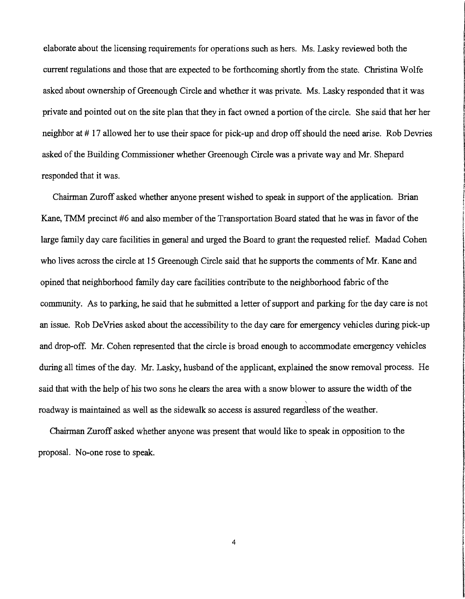elaborate about the licensing requirements for operations such as hers. Ms. Lasky reviewed both the current regulations and those that are expected to be forthcoming shortly from the state. Christina Wolfe asked about ownership of Greenough Circle and whether it was private. Ms. Lasky responded that it was private and pointed out on the site plan that they in fact owned a portion ofthe circle. She said that her her neighbor at #17 allowed her to use their space for pick-up and drop off should the need arise. Rob Devries asked of the Building Commissioner whether Greenough Circle was a private way and Mr. Shepard responded that it was.

Chairman Zuroff asked whether anyone present wished to speak in support of the application. Brian Kane, TMM precinct #6 and also member of the Transportation Board stated that he was in favor of the large family day care facilities in general and urged the Board to grant the requested relief. Madad Cohen who lives across the circle at 15 Greenough Circle said that he supports the comments of Mr. Kane and opined that neighborhood family day care facilities contribute to the neighborhood fabric of the t community. As to parking, he said that he submitted a letter of support and parking for the day care is not an issue. Rob DeVries asked about the accessibility to the day care for emergency vehicles during pick-up and drop-off. Mr. Cohen represented that the circle is broad enough to accommodate emergency vehicles during all times of the day. Mr. Lasky, husband of the applicant, explained the snow removal process. He said that with the help of his two sons he clears the area with a snow blower to assure the width of the roadway is maintained as well as the sidewalk so access is assured regardless of the weather.

International contraction of the magners. **International Communication In the community of Action** 

**International Activities** 

**the columns reading** 

**International Conference of Contemporary** 

i<br>I

r

1917.000.000

Chairman Zuroff asked whether anyone was present that would like to speak in opposition to the proposal. No-one rose to speak.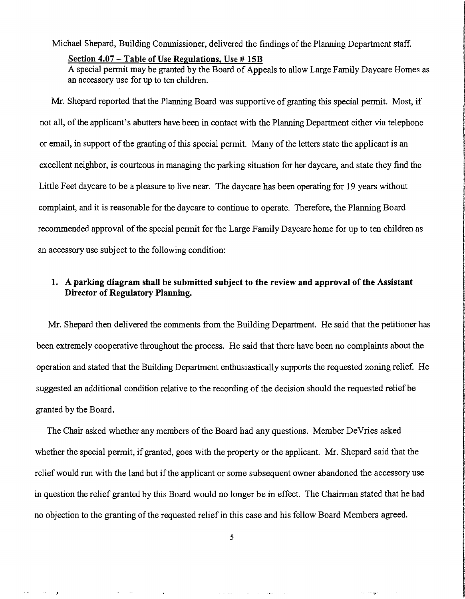Michael Shepard, Building Commissioner, delivered the findings of the Planning Department staff.

## Section 4.07 - Table of Use Regulations, Use #15B

A special permit may be granted by the Board of Appeals to allow Large Family Daycare Homes as an accessory use for up to ten children.

Mr. Shepard reported that the Planning Board was supportive of granting this special permit. Most, if not all, of the applicant's abutters have been in contact with the Planning Department either via telephone or email, in support of the granting of this special permit. Many of the letters state the applicant is an excellent neighbor, is courteous in managing the parking situation for her daycare, and state they find the Little Feet daycare to be a pleasure to live near. The daycare has been operating for 19 years without complaint, and it is reasonable for the daycare to continue to operate. Therefore, the Planning Board recommended approval of the special permit for the Large Family Daycare home for up to ten children as an accessory use subject to the following condition:

## 1. A parking diagram shall be submitted subject to the review and approval of the Assistant Director of Regulatory Planning.

Mr. Shepard then delivered the comments from the Building Department. He said that the petitioner has been extremely cooperative throughout the process. He said that there have been no complaints about the operation and stated that the Building Department enthusiastically supports the requested zoning relief. He suggested an additional condition relative to the recording of the decision should the requested relief be granted by the Board.

The Chair asked whether any members of the Board had any questions. Member DeVries asked whether the special permit, if granted, goes with the property or the applicant. Mr. Shepard said that the relief would run with the land but if the applicant or some subsequent owner abandoned the accessory use in question the relief granted by this Board would no longer be in effect. The Chairman stated that he had no objection to the granting of the requested relief in this case and his fellow Board Members agreed.

 $\alpha$  ,  $\beta$  , and  $\alpha$ 

 $\sim$ 

J

 $\sim$   $-$